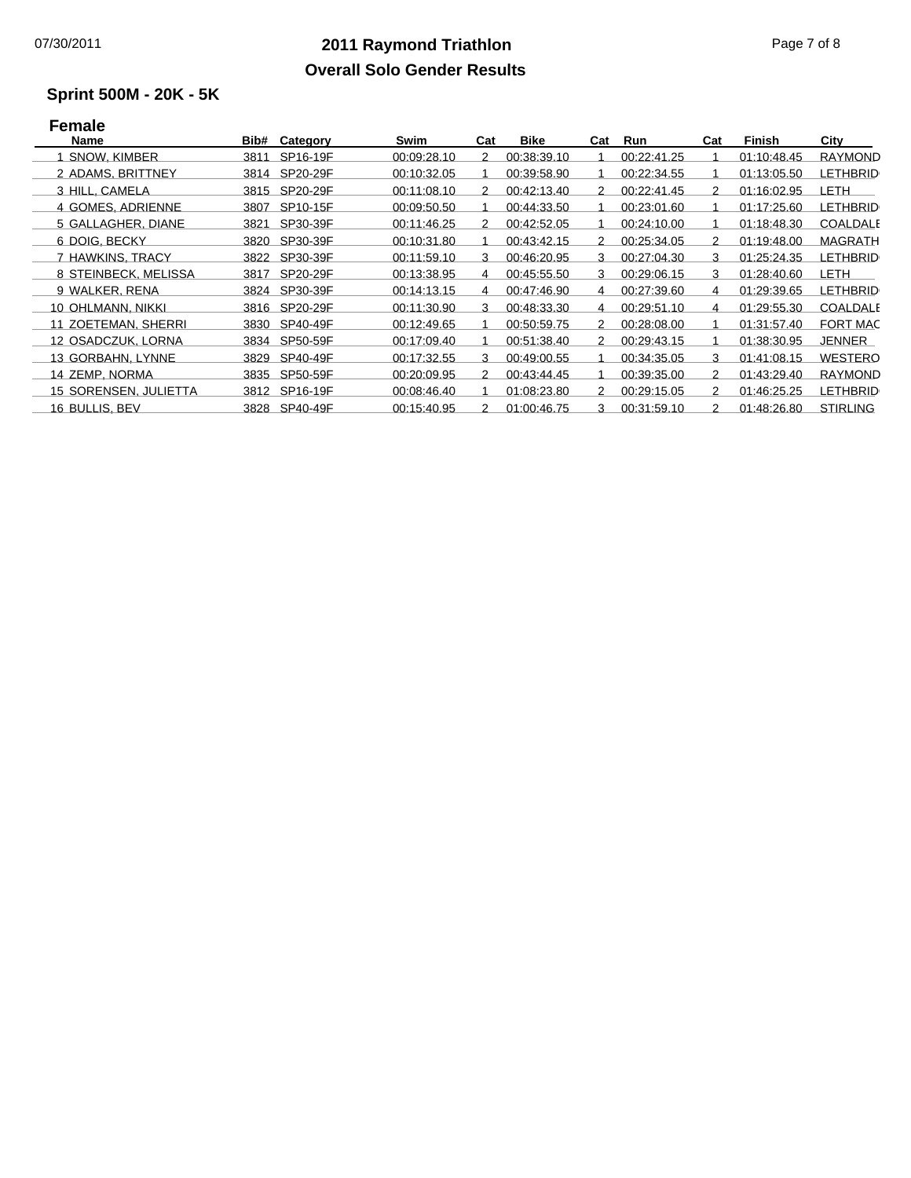### **2011 Raymond Triathlon** 07/30/2011 Page 7 of 8 **Overall Solo Gender Results**

# **Sprint 500M - 20K - 5K**

### **Female**

| Name                  | Bib# | Category      | Swim        | Cat | <b>Bike</b> | Cat | Run         | Cat | Finish      | City            |
|-----------------------|------|---------------|-------------|-----|-------------|-----|-------------|-----|-------------|-----------------|
| <b>SNOW, KIMBER</b>   | 3811 | SP16-19F      | 00:09:28.10 | 2   | 00:38:39.10 |     | 00:22:41.25 |     | 01:10:48.45 | <b>RAYMOND</b>  |
| 2 ADAMS, BRITTNEY     |      | 3814 SP20-29F | 00:10:32.05 |     | 00:39:58.90 |     | 00:22:34.55 |     | 01:13:05.50 | <b>LETHBRID</b> |
| 3 HILL, CAMELA        | 3815 | SP20-29F      | 00:11:08.10 | 2   | 00:42:13.40 | 2   | 00:22:41.45 | 2   | 01:16:02.95 | LETH            |
| 4 GOMES, ADRIENNE     | 3807 | SP10-15F      | 00:09:50.50 |     | 00:44:33.50 |     | 00:23:01.60 |     | 01:17:25.60 | <b>LETHBRID</b> |
| 5 GALLAGHER, DIANE    | 3821 | SP30-39F      | 00:11:46.25 | 2   | 00:42:52.05 |     | 00:24:10.00 |     | 01:18:48.30 | <b>COALDALE</b> |
| 6 DOIG, BECKY         | 3820 | SP30-39F      | 00:10:31.80 |     | 00:43:42.15 | 2   | 00:25:34.05 | 2   | 01:19:48.00 | <b>MAGRATH</b>  |
| 7 HAWKINS, TRACY      |      | 3822 SP30-39F | 00:11:59.10 | 3   | 00:46:20.95 | 3   | 00:27:04.30 | 3   | 01:25:24.35 | <b>LETHBRID</b> |
| 8 STEINBECK, MELISSA  | 3817 | SP20-29F      | 00:13:38.95 | 4   | 00:45:55.50 | 3   | 00:29:06.15 | 3   | 01:28:40.60 | LETH            |
| 9 WALKER, RENA        | 3824 | SP30-39F      | 00:14:13.15 | 4   | 00:47:46.90 | 4   | 00:27:39.60 | 4   | 01:29:39.65 | <b>LETHBRID</b> |
| 10 OHLMANN, NIKKI     | 3816 | SP20-29F      | 00:11:30.90 | 3   | 00:48:33.30 | 4   | 00:29:51.10 | 4   | 01:29:55.30 | <b>COALDALE</b> |
| 11 ZOETEMAN, SHERRI   | 3830 | SP40-49F      | 00:12:49.65 |     | 00:50:59.75 | 2   | 00:28:08.00 |     | 01:31:57.40 | <b>FORT MAC</b> |
| 12 OSADCZUK, LORNA    | 3834 | SP50-59F      | 00:17:09.40 |     | 00:51:38.40 | 2   | 00:29:43.15 |     | 01:38:30.95 | JENNER          |
| 13 GORBAHN, LYNNE     |      | 3829 SP40-49F | 00:17:32.55 | 3   | 00:49:00.55 |     | 00:34:35.05 | 3   | 01:41:08.15 | <b>WESTERO</b>  |
| 14 ZEMP, NORMA        | 3835 | SP50-59F      | 00:20:09.95 | 2   | 00:43:44.45 |     | 00:39:35.00 | 2   | 01:43:29.40 | <b>RAYMOND</b>  |
| 15 SORENSEN, JULIETTA |      | 3812 SP16-19F | 00:08:46.40 |     | 01:08:23.80 | 2   | 00:29:15.05 | 2   | 01:46:25.25 | <b>LETHBRID</b> |
| 16 BULLIS, BEV        |      | 3828 SP40-49F | 00:15:40.95 | 2   | 01:00:46.75 | 3   | 00:31:59.10 | 2   | 01:48:26.80 | <b>STIRLING</b> |